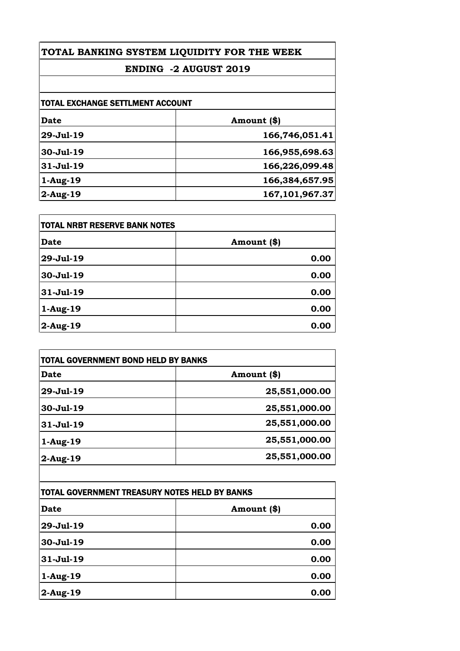## **ENDING -2 AUGUST 2019**

| <b>TOTAL EXCHANGE SETTLMENT ACCOUNT</b> |                   |
|-----------------------------------------|-------------------|
| Date                                    | Amount (\$)       |
| 29-Jul-19                               | 166,746,051.41    |
| 30-Jul-19                               | 166,955,698.63    |
| $31 -$ Jul $-19$                        | 166,226,099.48    |
| $1-Aug-19$                              | 166,384,657.95    |
| $2$ -Aug-19                             | 167, 101, 967. 37 |

| <b>TOTAL NRBT RESERVE BANK NOTES</b> |             |
|--------------------------------------|-------------|
| <b>Date</b>                          | Amount (\$) |
| 29-Jul-19                            | 0.00        |
| 30-Jul-19                            | 0.00        |
| 31-Jul-19                            | 0.00        |
| $1-Aug-19$                           | 0.00        |
| $2$ -Aug-19                          | 0.00        |

| <b>TOTAL GOVERNMENT BOND HELD BY BANKS</b> |               |
|--------------------------------------------|---------------|
| Date                                       | Amount (\$)   |
| 29-Jul-19                                  | 25,551,000.00 |
| 30-Jul-19                                  | 25,551,000.00 |
| 31-Jul-19                                  | 25,551,000.00 |
| $1-Aug-19$                                 | 25,551,000.00 |
| $2$ -Aug-19                                | 25,551,000.00 |
|                                            |               |

| <b>TOTAL GOVERNMENT TREASURY NOTES HELD BY BANKS</b> |             |
|------------------------------------------------------|-------------|
| <b>Date</b>                                          | Amount (\$) |
| 29-Jul-19                                            | 0.00        |
| 30-Jul-19                                            | 0.00        |
| 31-Jul-19                                            | 0.00        |
| $1-Aug-19$                                           | 0.00        |
| $2$ -Aug-19                                          | 0.00        |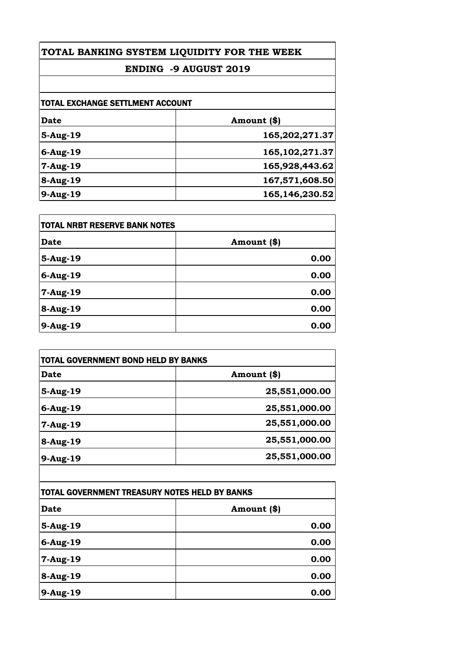## **ENDING -9 AUGUST 2019**

| <b>TOTAL EXCHANGE SETTLMENT ACCOUNT</b> |                   |
|-----------------------------------------|-------------------|
| Date                                    | Amount (\$)       |
| 5-Aug-19                                | 165,202,271.37    |
| $6$ -Aug-19                             | 165, 102, 271.37  |
| $7 - Aug-19$                            | 165,928,443.62    |
| 8-Aug-19                                | 167,571,608.50    |
| 9-Aug-19                                | 165, 146, 230. 52 |

| <b>TOTAL NRBT RESERVE BANK NOTES</b> |             |
|--------------------------------------|-------------|
| <b>Date</b>                          | Amount (\$) |
| 5-Aug-19                             | 0.00        |
| 6-Aug-19                             | 0.00        |
| 7-Aug-19                             | 0.00        |
| 8-Aug-19                             | 0.00        |
| 9-Aug-19                             | 0.00        |

| Date        | Amount (\$)   |
|-------------|---------------|
| 5-Aug-19    | 25,551,000.00 |
| $6$ -Aug-19 | 25,551,000.00 |
| $7-Aug-19$  | 25,551,000.00 |
| 8-Aug-19    | 25,551,000.00 |
| 9-Aug-19    | 25,551,000.00 |

| <b>TOTAL GOVERNMENT TREASURY NOTES HELD BY BANKS</b> |             |
|------------------------------------------------------|-------------|
| <b>Date</b>                                          | Amount (\$) |
| 5-Aug-19                                             | 0.00        |
| $6$ -Aug-19                                          | 0.00        |
| 7-Aug-19                                             | 0.00        |
| 8-Aug-19                                             | 0.00        |
| 9-Aug-19                                             | 0.00        |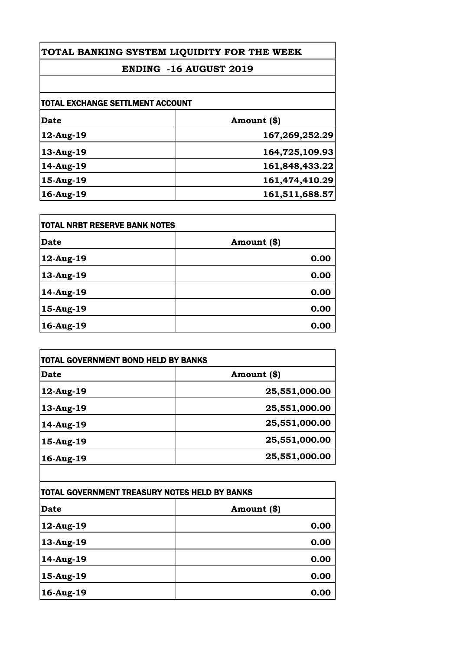## **ENDING -16 AUGUST 2019**

| <b>TOTAL EXCHANGE SETTLMENT ACCOUNT</b> |                |
|-----------------------------------------|----------------|
| <b>Date</b>                             | Amount (\$)    |
| 12-Aug-19                               | 167,269,252.29 |
| 13-Aug-19                               | 164,725,109.93 |
| 14-Aug-19                               | 161,848,433.22 |
| 15-Aug-19                               | 161,474,410.29 |
| 16-Aug-19                               | 161,511,688.57 |

| TOTAL NRBT RESERVE BANK NOTES |             |
|-------------------------------|-------------|
| <b>Date</b>                   | Amount (\$) |
| 12-Aug-19                     | 0.00        |
| 13-Aug-19                     | 0.00        |
| 14-Aug-19                     | 0.00        |
| 15-Aug-19                     | 0.00        |
| 16-Aug-19                     | 0.00        |

| Amount (\$)<br>25,551,000.00 |
|------------------------------|
|                              |
|                              |
| 25,551,000.00                |
| 25,551,000.00                |
| 25,551,000.00                |
| 25,551,000.00                |
|                              |

| TOTAL GOVERNMENT TREASURY NOTES HELD BY BANKS |             |
|-----------------------------------------------|-------------|
| <b>Date</b>                                   | Amount (\$) |
| 12-Aug-19                                     | 0.00        |
| 13-Aug-19                                     | 0.00        |
| 14-Aug-19                                     | 0.00        |
| 15-Aug-19                                     | 0.00        |
| 16-Aug-19                                     | 0.00        |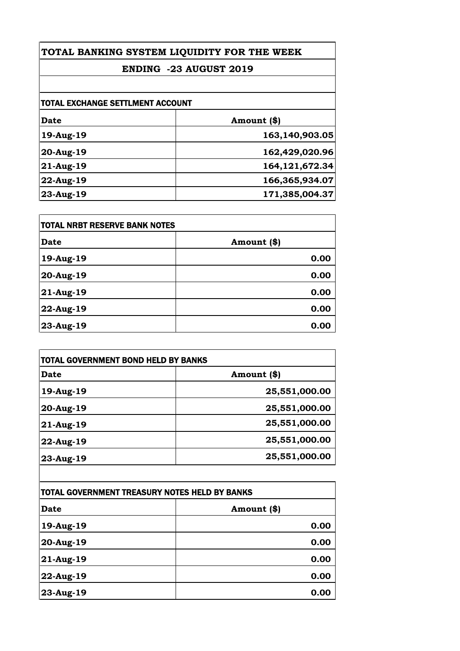## **ENDING -23 AUGUST 2019**

| Amount (\$)    |
|----------------|
| 163,140,903.05 |
| 162,429,020.96 |
| 164,121,672.34 |
| 166,365,934.07 |
| 171,385,004.37 |
|                |

| <b>TOTAL NRBT RESERVE BANK NOTES</b> |             |
|--------------------------------------|-------------|
| <b>Date</b>                          | Amount (\$) |
| 19-Aug-19                            | 0.00        |
| 20-Aug-19                            | 0.00        |
| 21-Aug-19                            | 0.00        |
| 22-Aug-19                            | 0.00        |
| 23-Aug-19                            | 0.00        |

| <b>TOTAL GOVERNMENT BOND HELD BY BANKS</b> |               |
|--------------------------------------------|---------------|
| Date                                       | Amount (\$)   |
| 19-Aug-19                                  | 25,551,000.00 |
| 20-Aug-19                                  | 25,551,000.00 |
| $21$ -Aug-19                               | 25,551,000.00 |
| $22$ -Aug-19                               | 25,551,000.00 |
| 23-Aug-19                                  | 25,551,000.00 |

| TOTAL GOVERNMENT TREASURY NOTES HELD BY BANKS |             |
|-----------------------------------------------|-------------|
| Date                                          | Amount (\$) |
| 19-Aug-19                                     | 0.00        |
| 20-Aug-19                                     | 0.00        |
| 21-Aug-19                                     | 0.00        |
| 22-Aug-19                                     | 0.00        |
| 23-Aug-19                                     | 0.00        |